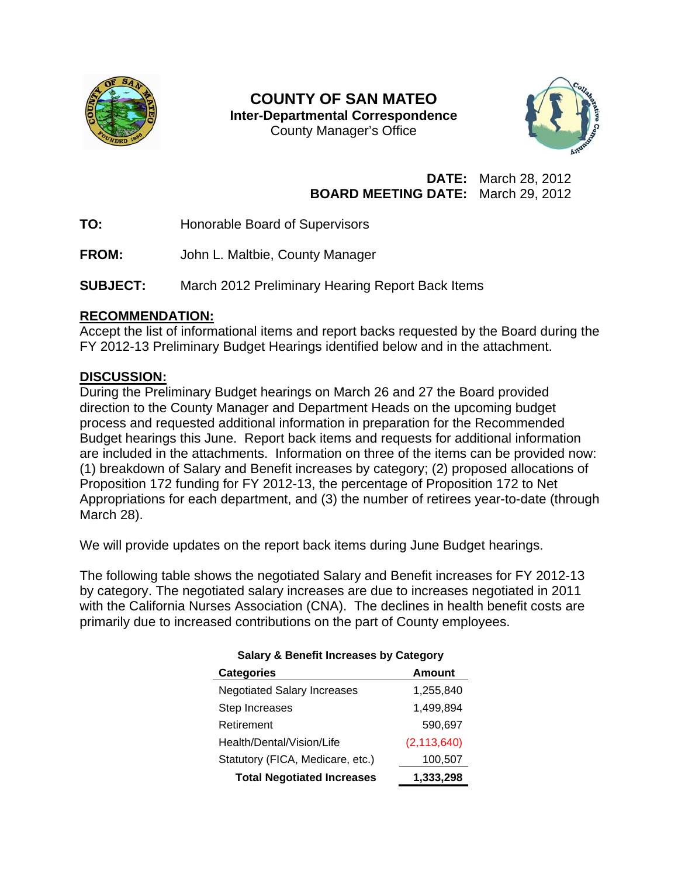

## **COUNTY OF SAN MATEO Inter-Departmental Correspondence**  County Manager's Office



# **DATE:** March 28, 2012 **BOARD MEETING DATE:** March 29, 2012

- **TO:** Honorable Board of Supervisors
- **FROM:** John L. Maltbie, County Manager
- **SUBJECT:** March 2012 Preliminary Hearing Report Back Items

### **RECOMMENDATION:**

Accept the list of informational items and report backs requested by the Board during the FY 2012-13 Preliminary Budget Hearings identified below and in the attachment.

## **DISCUSSION:**

During the Preliminary Budget hearings on March 26 and 27 the Board provided direction to the County Manager and Department Heads on the upcoming budget process and requested additional information in preparation for the Recommended Budget hearings this June. Report back items and requests for additional information are included in the attachments. Information on three of the items can be provided now: (1) breakdown of Salary and Benefit increases by category; (2) proposed allocations of Proposition 172 funding for FY 2012-13, the percentage of Proposition 172 to Net Appropriations for each department, and (3) the number of retirees year-to-date (through March 28).

We will provide updates on the report back items during June Budget hearings.

The following table shows the negotiated Salary and Benefit increases for FY 2012-13 by category. The negotiated salary increases are due to increases negotiated in 2011 with the California Nurses Association (CNA). The declines in health benefit costs are primarily due to increased contributions on the part of County employees.

| <b>Categories</b>                  | Amount        |
|------------------------------------|---------------|
| <b>Negotiated Salary Increases</b> | 1,255,840     |
| Step Increases                     | 1,499,894     |
| Retirement                         | 590,697       |
| Health/Dental/Vision/Life          | (2, 113, 640) |
| Statutory (FICA, Medicare, etc.)   | 100,507       |
| <b>Total Negotiated Increases</b>  | 1,333,298     |

### **Salary & Benefit Increases by Category**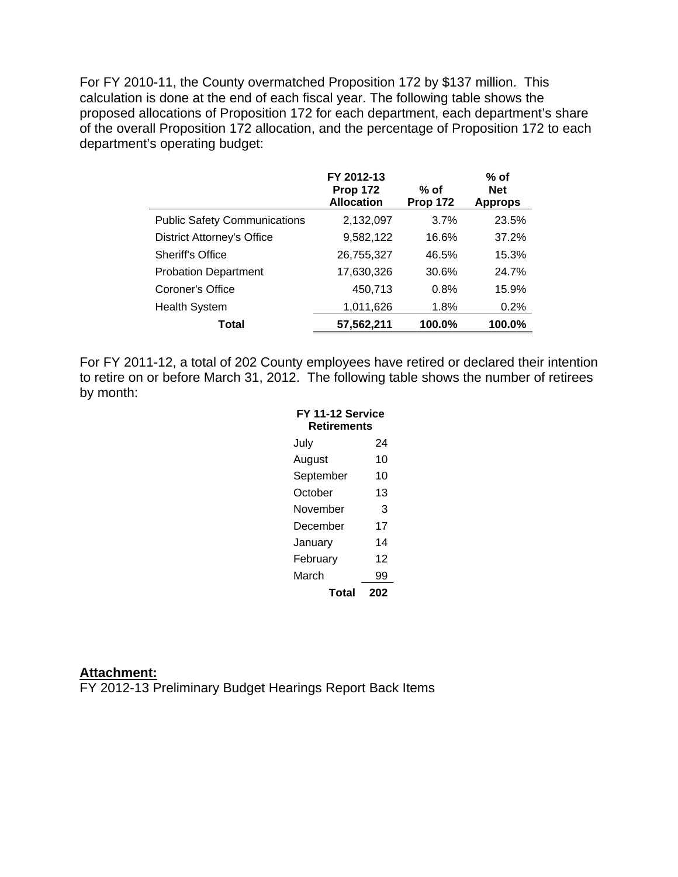For FY 2010-11, the County overmatched Proposition 172 by \$137 million. This calculation is done at the end of each fiscal year. The following table shows the proposed allocations of Proposition 172 for each department, each department's share of the overall Proposition 172 allocation, and the percentage of Proposition 172 to each department's operating budget:

|                                     | FY 2012-13<br><b>Prop 172</b><br><b>Allocation</b> | % of<br><b>Prop 172</b> | % of<br><b>Net</b><br><b>Approps</b> |
|-------------------------------------|----------------------------------------------------|-------------------------|--------------------------------------|
| <b>Public Safety Communications</b> | 2,132,097                                          | 3.7%                    | 23.5%                                |
| <b>District Attorney's Office</b>   | 9,582,122                                          | 16.6%                   | 37.2%                                |
| <b>Sheriff's Office</b>             | 26,755,327                                         | 46.5%                   | 15.3%                                |
| <b>Probation Department</b>         | 17,630,326                                         | 30.6%                   | 24.7%                                |
| Coroner's Office                    | 450,713                                            | 0.8%                    | 15.9%                                |
| <b>Health System</b>                | 1,011,626                                          | 1.8%                    | 0.2%                                 |
| Total                               | 57,562,211                                         | 100.0%                  | 100.0%                               |

For FY 2011-12, a total of 202 County employees have retired or declared their intention to retire on or before March 31, 2012. The following table shows the number of retirees by month:

| FY 11-12 Service   |     |  |  |  |
|--------------------|-----|--|--|--|
| <b>Retirements</b> |     |  |  |  |
| July               | 24  |  |  |  |
| August             | 10  |  |  |  |
| September          | 10  |  |  |  |
| October            | 13  |  |  |  |
| November           | 3   |  |  |  |
| December           | 17  |  |  |  |
| Januarv            | 14  |  |  |  |
| Februarv           | 12  |  |  |  |
| March              | 99  |  |  |  |
| Total              | 202 |  |  |  |

#### **Attachment:**

FY 2012-13 Preliminary Budget Hearings Report Back Items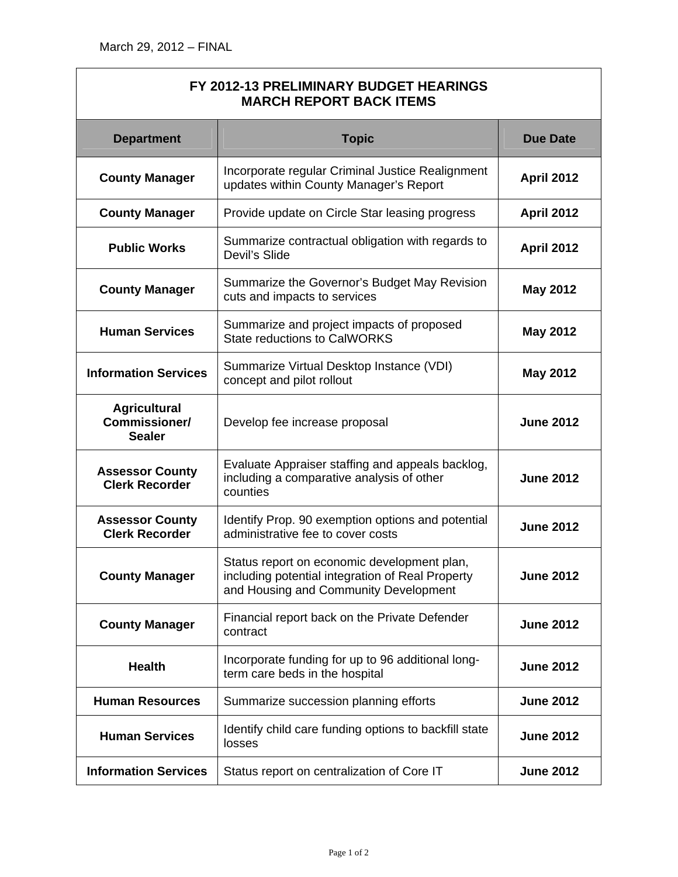#### **FY 2012-13 PRELIMINARY BUDGET HEARINGS MARCH REPORT BACK ITEMS**

| <b>Department</b>                                     | <b>Topic</b>                                                                                                                             | <b>Due Date</b>   |
|-------------------------------------------------------|------------------------------------------------------------------------------------------------------------------------------------------|-------------------|
| <b>County Manager</b>                                 | Incorporate regular Criminal Justice Realignment<br>updates within County Manager's Report                                               | <b>April 2012</b> |
| <b>County Manager</b>                                 | Provide update on Circle Star leasing progress                                                                                           | <b>April 2012</b> |
| <b>Public Works</b>                                   | Summarize contractual obligation with regards to<br>Devil's Slide                                                                        | <b>April 2012</b> |
| <b>County Manager</b>                                 | Summarize the Governor's Budget May Revision<br>cuts and impacts to services                                                             | <b>May 2012</b>   |
| <b>Human Services</b>                                 | Summarize and project impacts of proposed<br><b>State reductions to CalWORKS</b>                                                         | <b>May 2012</b>   |
| <b>Information Services</b>                           | Summarize Virtual Desktop Instance (VDI)<br>concept and pilot rollout                                                                    | <b>May 2012</b>   |
| <b>Agricultural</b><br>Commissioner/<br><b>Sealer</b> | Develop fee increase proposal                                                                                                            | <b>June 2012</b>  |
| <b>Assessor County</b><br><b>Clerk Recorder</b>       | Evaluate Appraiser staffing and appeals backlog,<br>including a comparative analysis of other<br>counties                                | <b>June 2012</b>  |
| <b>Assessor County</b><br><b>Clerk Recorder</b>       | Identify Prop. 90 exemption options and potential<br>administrative fee to cover costs                                                   | <b>June 2012</b>  |
| <b>County Manager</b>                                 | Status report on economic development plan,<br>including potential integration of Real Property<br>and Housing and Community Development | <b>June 2012</b>  |
| <b>County Manager</b>                                 | Financial report back on the Private Defender<br>contract                                                                                | <b>June 2012</b>  |
| <b>Health</b>                                         | Incorporate funding for up to 96 additional long-<br>term care beds in the hospital                                                      | <b>June 2012</b>  |
| <b>Human Resources</b>                                | Summarize succession planning efforts                                                                                                    | <b>June 2012</b>  |
| <b>Human Services</b>                                 | Identify child care funding options to backfill state<br>losses                                                                          | <b>June 2012</b>  |
| <b>Information Services</b>                           | Status report on centralization of Core IT                                                                                               | <b>June 2012</b>  |